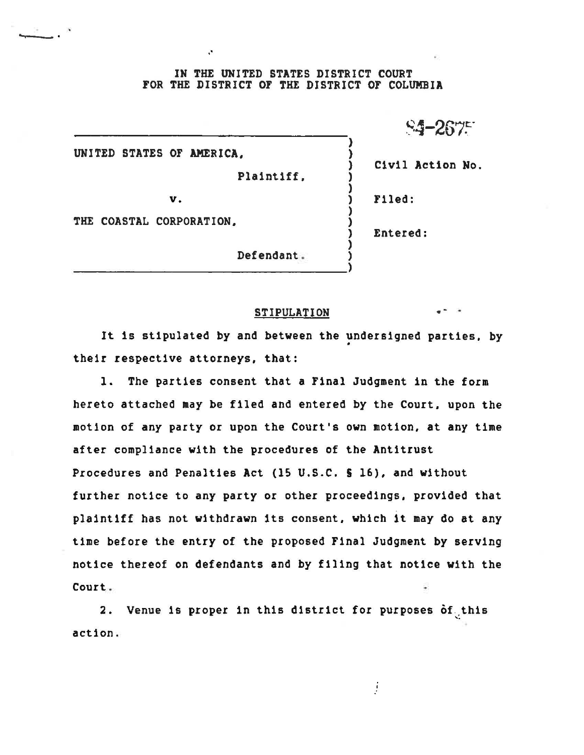## IN THE UNITED STATES DISTRICT COURT FOR THE DISTRICT OF THE DISTRICT OF COLUMBIA

~4-267~·

UNITED STATES OF **AMERICA.** )

Plaintiff. )

) Civil Action No.

**v.** ) Filed:

 $\mathcal{L}$ 

) .Entered:

)

)

)

)

)

THE COASTAL CORPORATION.

Defendant . )

## STIPULATION

It is stipulated by and between the undersigned parties, by their respective attorneys. that:

l. The parties consent that a Final Judgment in the form hereto attached may be filed and entered by the Court, upon the motion of any party or upon the Court's own motion. at any time after compliance with the procedures of the Antitrust Procedures and Penalties Act (lS U.S.C. S 16), and without further notice to any party or other proceedings, provided that plaintiff has not withdrawn its consent, which it may do at any time before the entry of the proposed Final Judgment by serving notice thereof on defendants and by filing that notice with the Court.

2. Venue is proper in this district for purposes  $\delta \mathbf{f}_{\downarrow}$ this action .